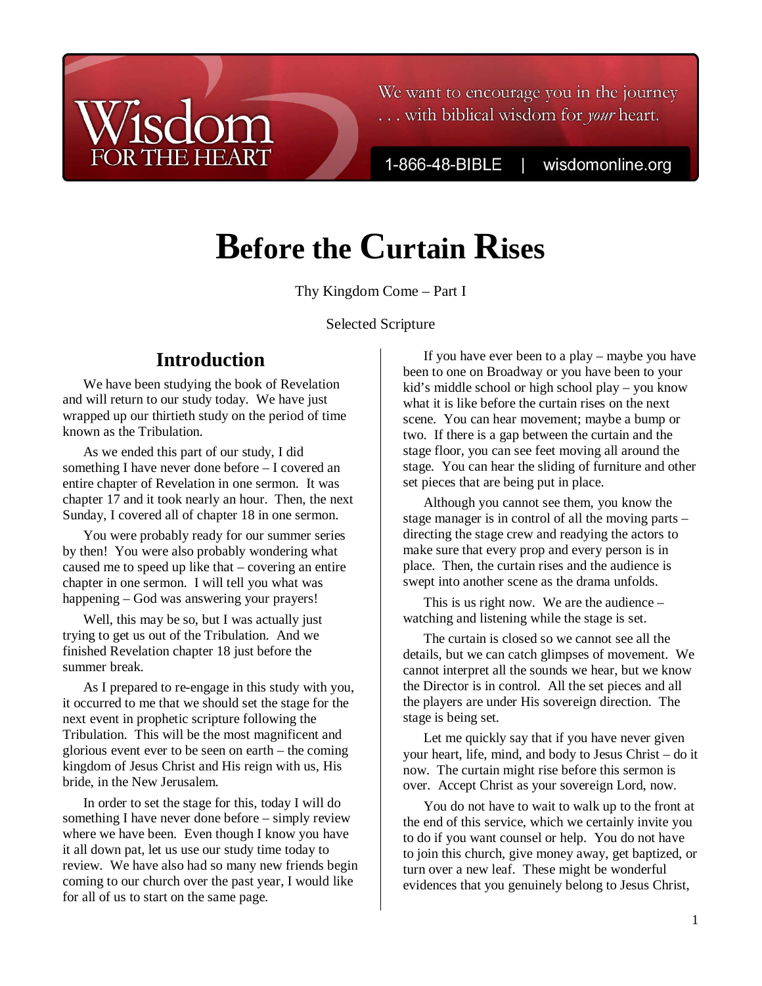### We want to encourage you in the journey ... with biblical wisdom for your heart.

1-866-48-BIBLE

wisdomonline.org

# **Before the Curtain Rises**

Thy Kingdom Come – Part I

Selected Scripture

## **Introduction**

 $ic<sub>1</sub>$ 

**DR THE HEART** 

We have been studying the book of Revelation and will return to our study today. We have just wrapped up our thirtieth study on the period of time known as the Tribulation.

As we ended this part of our study, I did something I have never done before – I covered an entire chapter of Revelation in one sermon. It was chapter 17 and it took nearly an hour. Then, the next Sunday, I covered all of chapter 18 in one sermon.

You were probably ready for our summer series by then! You were also probably wondering what caused me to speed up like that – covering an entire chapter in one sermon. I will tell you what was happening – God was answering your prayers!

Well, this may be so, but I was actually just trying to get us out of the Tribulation. And we finished Revelation chapter 18 just before the summer break.

As I prepared to re-engage in this study with you, it occurred to me that we should set the stage for the next event in prophetic scripture following the Tribulation. This will be the most magnificent and glorious event ever to be seen on earth – the coming kingdom of Jesus Christ and His reign with us, His bride, in the New Jerusalem.

In order to set the stage for this, today I will do something I have never done before – simply review where we have been. Even though I know you have it all down pat, let us use our study time today to review. We have also had so many new friends begin coming to our church over the past year, I would like for all of us to start on the same page.

If you have ever been to a play – maybe you have been to one on Broadway or you have been to your kid's middle school or high school play – you know what it is like before the curtain rises on the next scene. You can hear movement; maybe a bump or two. If there is a gap between the curtain and the stage floor, you can see feet moving all around the stage. You can hear the sliding of furniture and other set pieces that are being put in place.

Although you cannot see them, you know the stage manager is in control of all the moving parts – directing the stage crew and readying the actors to make sure that every prop and every person is in place. Then, the curtain rises and the audience is swept into another scene as the drama unfolds.

This is us right now. We are the audience – watching and listening while the stage is set.

The curtain is closed so we cannot see all the details, but we can catch glimpses of movement. We cannot interpret all the sounds we hear, but we know the Director is in control. All the set pieces and all the players are under His sovereign direction. The stage is being set.

Let me quickly say that if you have never given your heart, life, mind, and body to Jesus Christ – do it now. The curtain might rise before this sermon is over. Accept Christ as your sovereign Lord, now.

You do not have to wait to walk up to the front at the end of this service, which we certainly invite you to do if you want counsel or help. You do not have to join this church, give money away, get baptized, or turn over a new leaf. These might be wonderful evidences that you genuinely belong to Jesus Christ,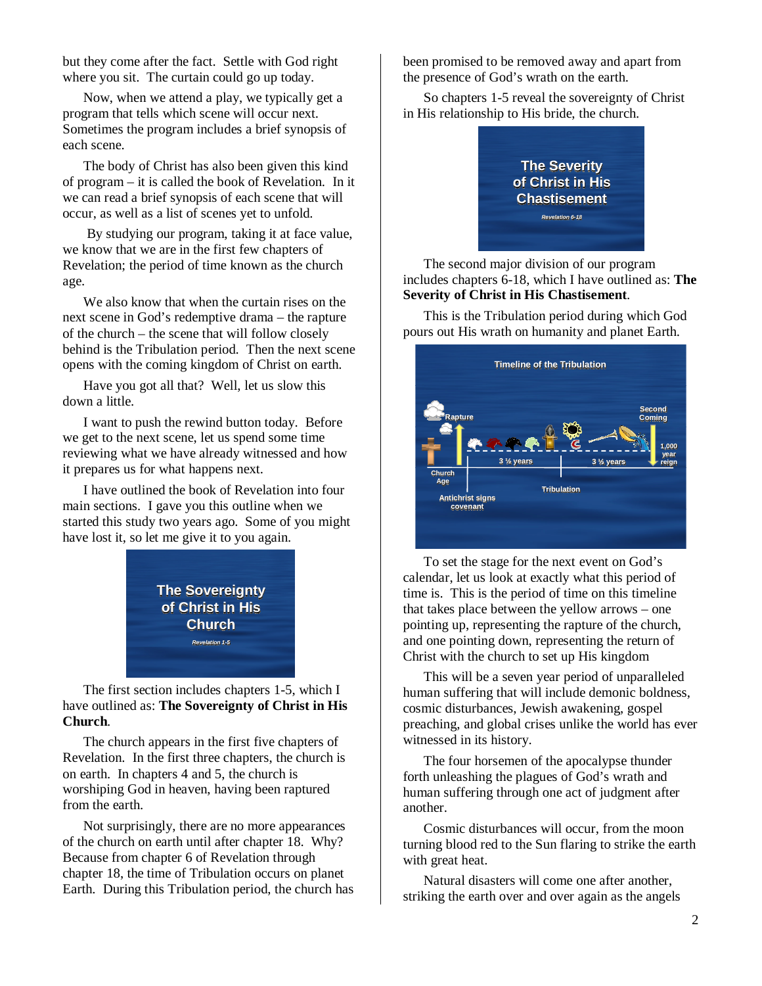but they come after the fact. Settle with God right where you sit. The curtain could go up today.

Now, when we attend a play, we typically get a program that tells which scene will occur next. Sometimes the program includes a brief synopsis of each scene.

The body of Christ has also been given this kind of program – it is called the book of Revelation. In it we can read a brief synopsis of each scene that will occur, as well as a list of scenes yet to unfold.

 By studying our program, taking it at face value, we know that we are in the first few chapters of Revelation; the period of time known as the church age.

We also know that when the curtain rises on the next scene in God's redemptive drama – the rapture of the church – the scene that will follow closely behind is the Tribulation period. Then the next scene opens with the coming kingdom of Christ on earth.

Have you got all that? Well, let us slow this down a little.

I want to push the rewind button today. Before we get to the next scene, let us spend some time reviewing what we have already witnessed and how it prepares us for what happens next.

I have outlined the book of Revelation into four main sections. I gave you this outline when we started this study two years ago. Some of you might have lost it, so let me give it to you again.



The first section includes chapters 1-5, which I have outlined as: **The Sovereignty of Christ in His Church**.

The church appears in the first five chapters of Revelation. In the first three chapters, the church is on earth. In chapters 4 and 5, the church is worshiping God in heaven, having been raptured from the earth.

Not surprisingly, there are no more appearances of the church on earth until after chapter 18. Why? Because from chapter 6 of Revelation through chapter 18, the time of Tribulation occurs on planet Earth. During this Tribulation period, the church has been promised to be removed away and apart from the presence of God's wrath on the earth.

So chapters 1-5 reveal the sovereignty of Christ in His relationship to His bride, the church.



The second major division of our program includes chapters 6-18, which I have outlined as: **The Severity of Christ in His Chastisement**.

This is the Tribulation period during which God pours out His wrath on humanity and planet Earth.



To set the stage for the next event on God's calendar, let us look at exactly what this period of time is. This is the period of time on this timeline that takes place between the yellow arrows – one pointing up, representing the rapture of the church, and one pointing down, representing the return of Christ with the church to set up His kingdom

This will be a seven year period of unparalleled human suffering that will include demonic boldness, cosmic disturbances, Jewish awakening, gospel preaching, and global crises unlike the world has ever witnessed in its history.

The four horsemen of the apocalypse thunder forth unleashing the plagues of God's wrath and human suffering through one act of judgment after another.

Cosmic disturbances will occur, from the moon turning blood red to the Sun flaring to strike the earth with great heat.

Natural disasters will come one after another, striking the earth over and over again as the angels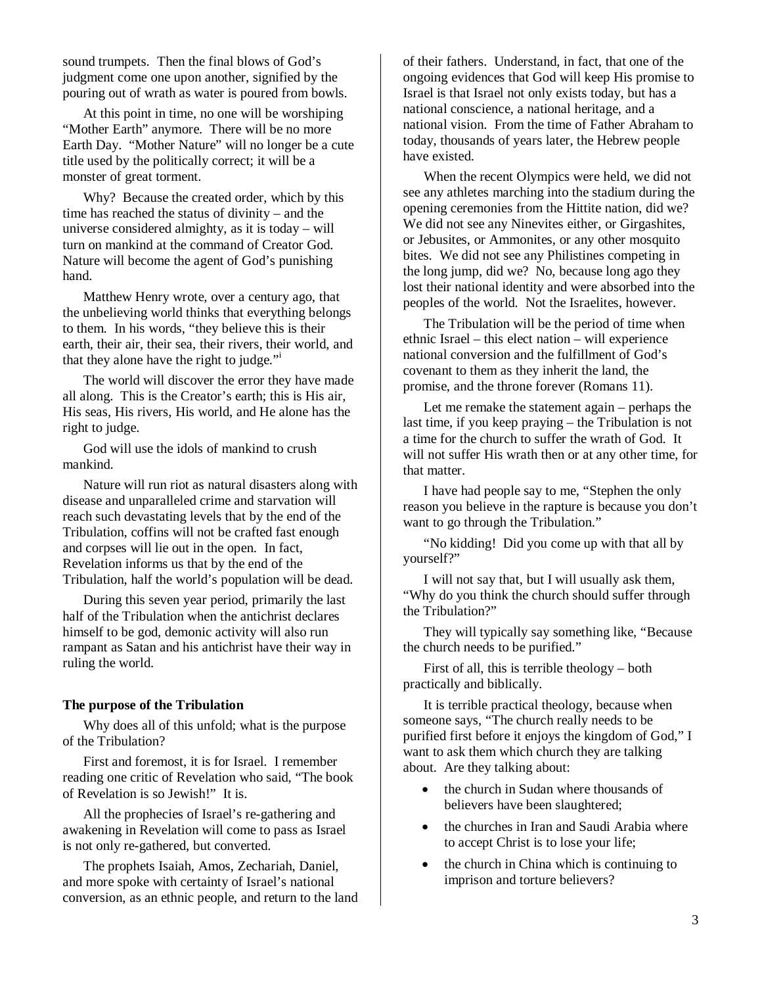sound trumpets. Then the final blows of God's judgment come one upon another, signified by the pouring out of wrath as water is poured from bowls.

At this point in time, no one will be worshiping "Mother Earth" anymore. There will be no more Earth Day. "Mother Nature" will no longer be a cute title used by the politically correct; it will be a monster of great torment.

Why? Because the created order, which by this time has reached the status of divinity – and the universe considered almighty, as it is today – will turn on mankind at the command of Creator God. Nature will become the agent of God's punishing hand.

Matthew Henry wrote, over a century ago, that the unbelieving world thinks that everything belongs to them. In his words, "they believe this is their earth, their air, their sea, their rivers, their world, and that they alone have the right to judge."<sup>i</sup>

The world will discover the error they have made all along. This is the Creator's earth; this is His air, His seas, His rivers, His world, and He alone has the right to judge.

God will use the idols of mankind to crush mankind.

Nature will run riot as natural disasters along with disease and unparalleled crime and starvation will reach such devastating levels that by the end of the Tribulation, coffins will not be crafted fast enough and corpses will lie out in the open. In fact, Revelation informs us that by the end of the Tribulation, half the world's population will be dead.

During this seven year period, primarily the last half of the Tribulation when the antichrist declares himself to be god, demonic activity will also run rampant as Satan and his antichrist have their way in ruling the world.

#### **The purpose of the Tribulation**

Why does all of this unfold; what is the purpose of the Tribulation?

First and foremost, it is for Israel. I remember reading one critic of Revelation who said, "The book of Revelation is so Jewish!" It is.

All the prophecies of Israel's re-gathering and awakening in Revelation will come to pass as Israel is not only re-gathered, but converted.

The prophets Isaiah, Amos, Zechariah, Daniel, and more spoke with certainty of Israel's national conversion, as an ethnic people, and return to the land of their fathers. Understand, in fact, that one of the ongoing evidences that God will keep His promise to Israel is that Israel not only exists today, but has a national conscience, a national heritage, and a national vision. From the time of Father Abraham to today, thousands of years later, the Hebrew people have existed.

When the recent Olympics were held, we did not see any athletes marching into the stadium during the opening ceremonies from the Hittite nation, did we? We did not see any Ninevites either, or Girgashites, or Jebusites, or Ammonites, or any other mosquito bites. We did not see any Philistines competing in the long jump, did we? No, because long ago they lost their national identity and were absorbed into the peoples of the world. Not the Israelites, however.

The Tribulation will be the period of time when ethnic Israel – this elect nation – will experience national conversion and the fulfillment of God's covenant to them as they inherit the land, the promise, and the throne forever (Romans 11).

Let me remake the statement again – perhaps the last time, if you keep praying – the Tribulation is not a time for the church to suffer the wrath of God. It will not suffer His wrath then or at any other time, for that matter.

I have had people say to me, "Stephen the only reason you believe in the rapture is because you don't want to go through the Tribulation."

"No kidding! Did you come up with that all by yourself?"

I will not say that, but I will usually ask them, "Why do you think the church should suffer through the Tribulation?"

They will typically say something like, "Because the church needs to be purified."

First of all, this is terrible theology – both practically and biblically.

It is terrible practical theology, because when someone says, "The church really needs to be purified first before it enjoys the kingdom of God," I want to ask them which church they are talking about. Are they talking about:

- the church in Sudan where thousands of believers have been slaughtered;
- the churches in Iran and Saudi Arabia where to accept Christ is to lose your life;
- the church in China which is continuing to imprison and torture believers?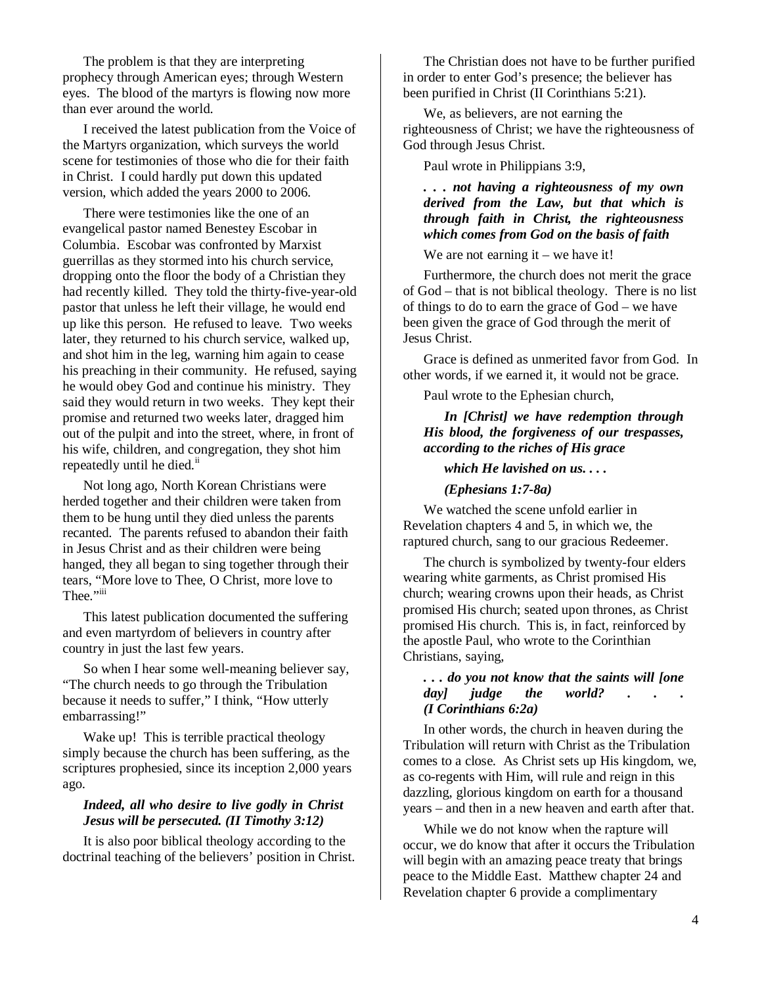The problem is that they are interpreting prophecy through American eyes; through Western eyes. The blood of the martyrs is flowing now more than ever around the world.

I received the latest publication from the Voice of the Martyrs organization, which surveys the world scene for testimonies of those who die for their faith in Christ. I could hardly put down this updated version, which added the years 2000 to 2006.

There were testimonies like the one of an evangelical pastor named Benestey Escobar in Columbia. Escobar was confronted by Marxist guerrillas as they stormed into his church service, dropping onto the floor the body of a Christian they had recently killed. They told the thirty-five-year-old pastor that unless he left their village, he would end up like this person. He refused to leave. Two weeks later, they returned to his church service, walked up, and shot him in the leg, warning him again to cease his preaching in their community. He refused, saying he would obey God and continue his ministry. They said they would return in two weeks. They kept their promise and returned two weeks later, dragged him out of the pulpit and into the street, where, in front of his wife, children, and congregation, they shot him repeatedly until he died.<sup>ii</sup>

Not long ago, North Korean Christians were herded together and their children were taken from them to be hung until they died unless the parents recanted. The parents refused to abandon their faith in Jesus Christ and as their children were being hanged, they all began to sing together through their tears, "More love to Thee, O Christ, more love to Thee."iii

This latest publication documented the suffering and even martyrdom of believers in country after country in just the last few years.

So when I hear some well-meaning believer say, "The church needs to go through the Tribulation because it needs to suffer," I think, "How utterly embarrassing!"

Wake up! This is terrible practical theology simply because the church has been suffering, as the scriptures prophesied, since its inception 2,000 years ago.

#### *Indeed, all who desire to live godly in Christ Jesus will be persecuted. (II Timothy 3:12)*

It is also poor biblical theology according to the doctrinal teaching of the believers' position in Christ.

The Christian does not have to be further purified in order to enter God's presence; the believer has been purified in Christ (II Corinthians 5:21).

We, as believers, are not earning the righteousness of Christ; we have the righteousness of God through Jesus Christ.

Paul wrote in Philippians 3:9,

#### *. . . not having a righteousness of my own derived from the Law, but that which is through faith in Christ, the righteousness which comes from God on the basis of faith*

We are not earning it – we have it!

Furthermore, the church does not merit the grace of God – that is not biblical theology. There is no list of things to do to earn the grace of God – we have been given the grace of God through the merit of Jesus Christ.

Grace is defined as unmerited favor from God. In other words, if we earned it, it would not be grace.

Paul wrote to the Ephesian church,

*In [Christ] we have redemption through His blood, the forgiveness of our trespasses, according to the riches of His grace* 

#### *which He lavished on us. . . .*

*(Ephesians 1:7-8a)*

We watched the scene unfold earlier in Revelation chapters 4 and 5, in which we, the raptured church, sang to our gracious Redeemer.

The church is symbolized by twenty-four elders wearing white garments, as Christ promised His church; wearing crowns upon their heads, as Christ promised His church; seated upon thrones, as Christ promised His church. This is, in fact, reinforced by the apostle Paul, who wrote to the Corinthian Christians, saying,

#### *. . . do you not know that the saints will [one dayl judge the world?* . *(I Corinthians 6:2a)*

In other words, the church in heaven during the Tribulation will return with Christ as the Tribulation comes to a close. As Christ sets up His kingdom, we, as co-regents with Him, will rule and reign in this dazzling, glorious kingdom on earth for a thousand years – and then in a new heaven and earth after that.

While we do not know when the rapture will occur, we do know that after it occurs the Tribulation will begin with an amazing peace treaty that brings peace to the Middle East. Matthew chapter 24 and Revelation chapter 6 provide a complimentary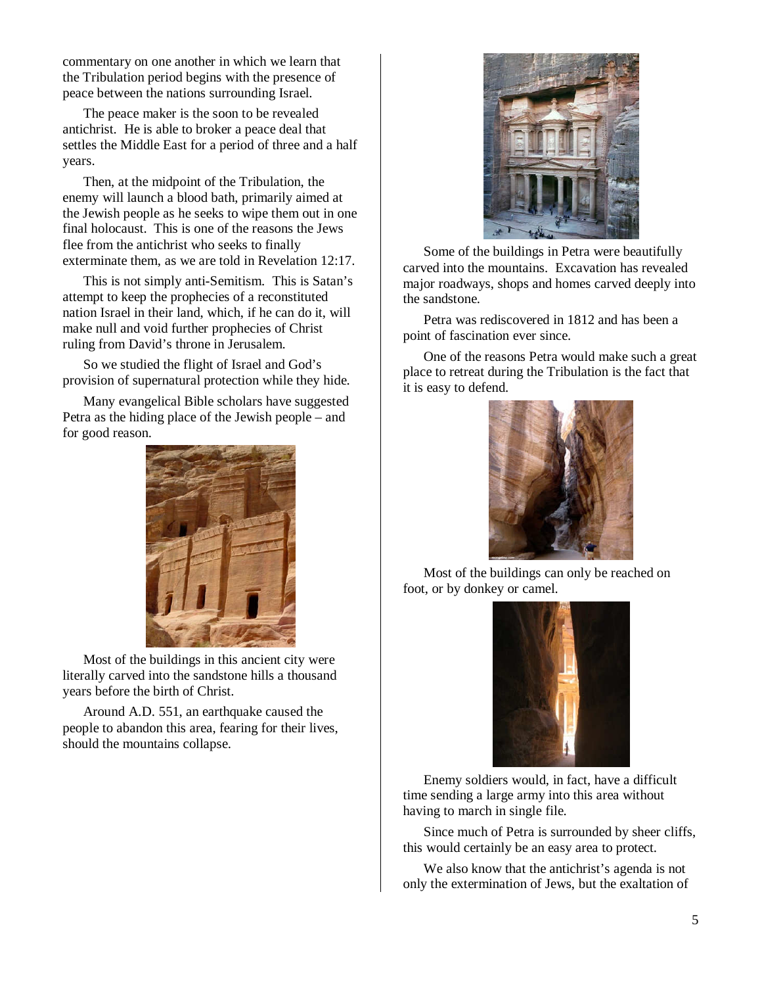commentary on one another in which we learn that the Tribulation period begins with the presence of peace between the nations surrounding Israel.

The peace maker is the soon to be revealed antichrist. He is able to broker a peace deal that settles the Middle East for a period of three and a half years.

Then, at the midpoint of the Tribulation, the enemy will launch a blood bath, primarily aimed at the Jewish people as he seeks to wipe them out in one final holocaust. This is one of the reasons the Jews flee from the antichrist who seeks to finally exterminate them, as we are told in Revelation 12:17.

This is not simply anti-Semitism. This is Satan's attempt to keep the prophecies of a reconstituted nation Israel in their land, which, if he can do it, will make null and void further prophecies of Christ ruling from David's throne in Jerusalem.

So we studied the flight of Israel and God's provision of supernatural protection while they hide.

Many evangelical Bible scholars have suggested Petra as the hiding place of the Jewish people – and for good reason.



Most of the buildings in this ancient city were literally carved into the sandstone hills a thousand years before the birth of Christ.

Around A.D. 551, an earthquake caused the people to abandon this area, fearing for their lives, should the mountains collapse.



Some of the buildings in Petra were beautifully carved into the mountains. Excavation has revealed major roadways, shops and homes carved deeply into the sandstone.

Petra was rediscovered in 1812 and has been a point of fascination ever since.

One of the reasons Petra would make such a great place to retreat during the Tribulation is the fact that it is easy to defend.



Most of the buildings can only be reached on foot, or by donkey or camel.



Enemy soldiers would, in fact, have a difficult time sending a large army into this area without having to march in single file.

Since much of Petra is surrounded by sheer cliffs, this would certainly be an easy area to protect.

We also know that the antichrist's agenda is not only the extermination of Jews, but the exaltation of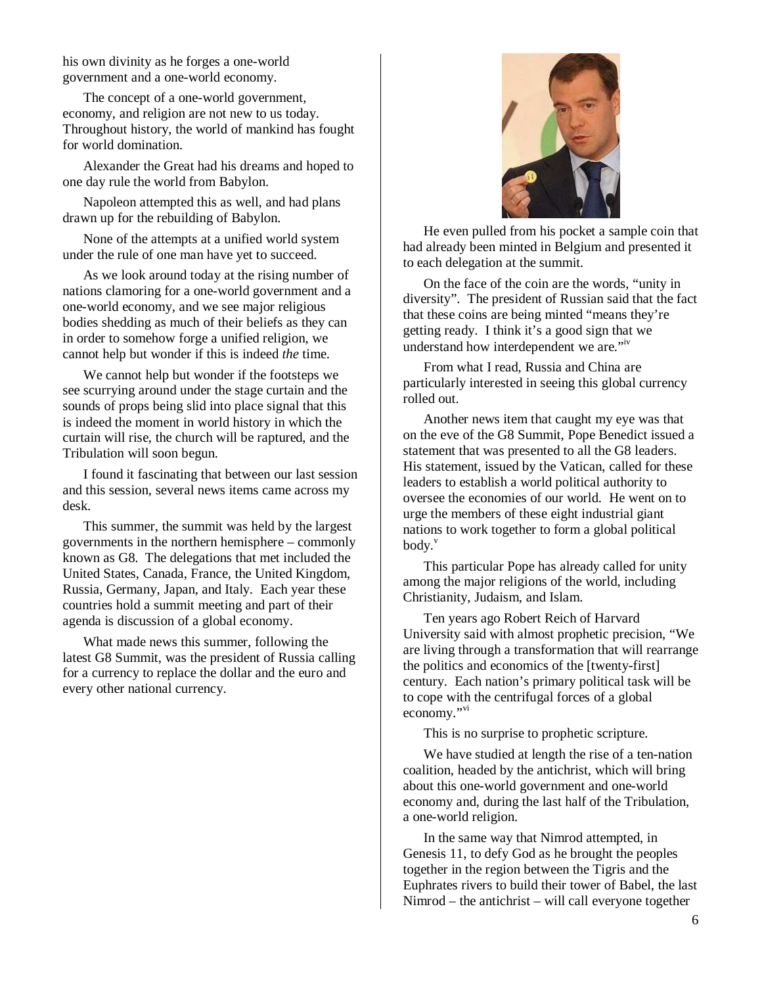his own divinity as he forges a one-world government and a one-world economy.

The concept of a one-world government, economy, and religion are not new to us today. Throughout history, the world of mankind has fought for world domination.

Alexander the Great had his dreams and hoped to one day rule the world from Babylon.

Napoleon attempted this as well, and had plans drawn up for the rebuilding of Babylon.

None of the attempts at a unified world system under the rule of one man have yet to succeed.

As we look around today at the rising number of nations clamoring for a one-world government and a one-world economy, and we see major religious bodies shedding as much of their beliefs as they can in order to somehow forge a unified religion, we cannot help but wonder if this is indeed *the* time.

We cannot help but wonder if the footsteps we see scurrying around under the stage curtain and the sounds of props being slid into place signal that this is indeed the moment in world history in which the curtain will rise, the church will be raptured, and the Tribulation will soon begun.

I found it fascinating that between our last session and this session, several news items came across my desk.

This summer, the summit was held by the largest governments in the northern hemisphere – commonly known as G8. The delegations that met included the United States, Canada, France, the United Kingdom, Russia, Germany, Japan, and Italy. Each year these countries hold a summit meeting and part of their agenda is discussion of a global economy.

What made news this summer, following the latest G8 Summit, was the president of Russia calling for a currency to replace the dollar and the euro and every other national currency.



He even pulled from his pocket a sample coin that had already been minted in Belgium and presented it to each delegation at the summit.

On the face of the coin are the words, "unity in diversity". The president of Russian said that the fact that these coins are being minted "means they're getting ready. I think it's a good sign that we understand how interdependent we are."<sup>iv</sup>

From what I read, Russia and China are particularly interested in seeing this global currency rolled out.

Another news item that caught my eye was that on the eve of the G8 Summit, Pope Benedict issued a statement that was presented to all the G8 leaders. His statement, issued by the Vatican, called for these leaders to establish a world political authority to oversee the economies of our world. He went on to urge the members of these eight industrial giant nations to work together to form a global political  $body.$ <sup>v</sup>

This particular Pope has already called for unity among the major religions of the world, including Christianity, Judaism, and Islam.

Ten years ago Robert Reich of Harvard University said with almost prophetic precision, "We are living through a transformation that will rearrange the politics and economics of the [twenty-first] century. Each nation's primary political task will be to cope with the centrifugal forces of a global economy."<sup>vi</sup>

This is no surprise to prophetic scripture.

We have studied at length the rise of a ten-nation coalition, headed by the antichrist, which will bring about this one-world government and one-world economy and, during the last half of the Tribulation, a one-world religion.

In the same way that Nimrod attempted, in Genesis 11, to defy God as he brought the peoples together in the region between the Tigris and the Euphrates rivers to build their tower of Babel, the last Nimrod – the antichrist – will call everyone together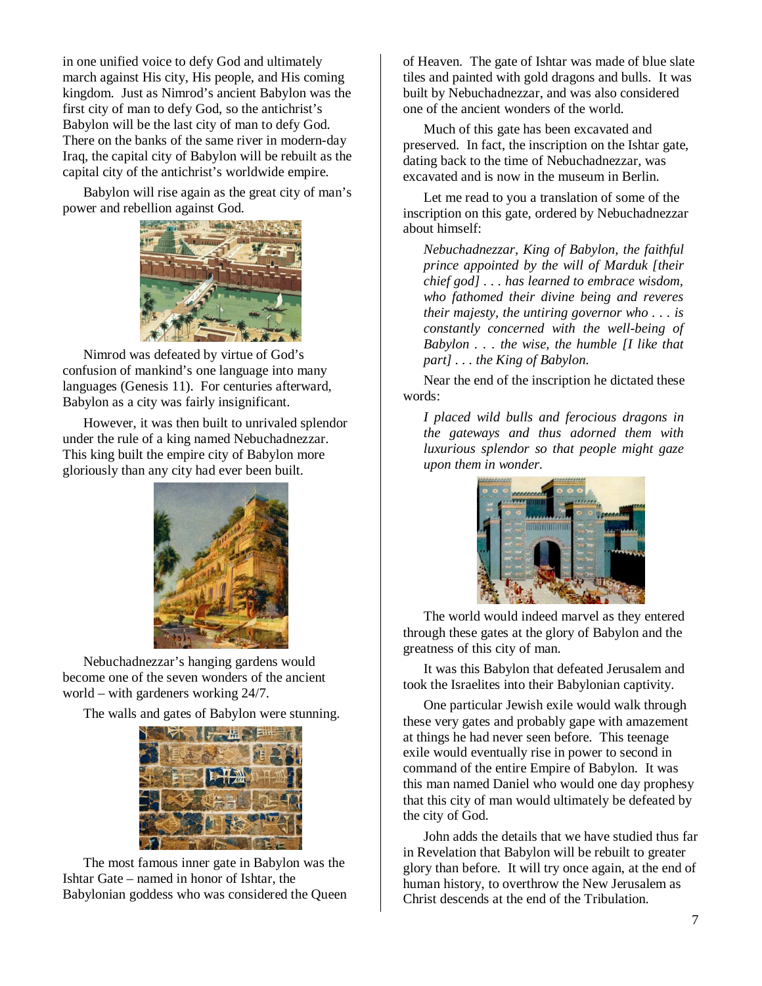in one unified voice to defy God and ultimately march against His city, His people, and His coming kingdom. Just as Nimrod's ancient Babylon was the first city of man to defy God, so the antichrist's Babylon will be the last city of man to defy God. There on the banks of the same river in modern-day Iraq, the capital city of Babylon will be rebuilt as the capital city of the antichrist's worldwide empire.

Babylon will rise again as the great city of man's power and rebellion against God.



Nimrod was defeated by virtue of God's confusion of mankind's one language into many languages (Genesis 11). For centuries afterward, Babylon as a city was fairly insignificant.

However, it was then built to unrivaled splendor under the rule of a king named Nebuchadnezzar. This king built the empire city of Babylon more gloriously than any city had ever been built.



Nebuchadnezzar's hanging gardens would become one of the seven wonders of the ancient world – with gardeners working 24/7.

The walls and gates of Babylon were stunning.



The most famous inner gate in Babylon was the Ishtar Gate – named in honor of Ishtar, the Babylonian goddess who was considered the Queen

of Heaven. The gate of Ishtar was made of blue slate tiles and painted with gold dragons and bulls. It was built by Nebuchadnezzar, and was also considered one of the ancient wonders of the world.

Much of this gate has been excavated and preserved. In fact, the inscription on the Ishtar gate, dating back to the time of Nebuchadnezzar, was excavated and is now in the museum in Berlin.

Let me read to you a translation of some of the inscription on this gate, ordered by Nebuchadnezzar about himself:

*Nebuchadnezzar, King of Babylon, the faithful prince appointed by the will of Marduk [their chief god] . . . has learned to embrace wisdom, who fathomed their divine being and reveres their majesty, the untiring governor who . . . is constantly concerned with the well-being of Babylon . . . the wise, the humble [I like that part] . . . the King of Babylon.* 

Near the end of the inscription he dictated these words:

*I placed wild bulls and ferocious dragons in the gateways and thus adorned them with luxurious splendor so that people might gaze upon them in wonder.* 



The world would indeed marvel as they entered through these gates at the glory of Babylon and the greatness of this city of man.

It was this Babylon that defeated Jerusalem and took the Israelites into their Babylonian captivity.

One particular Jewish exile would walk through these very gates and probably gape with amazement at things he had never seen before. This teenage exile would eventually rise in power to second in command of the entire Empire of Babylon. It was this man named Daniel who would one day prophesy that this city of man would ultimately be defeated by the city of God.

John adds the details that we have studied thus far in Revelation that Babylon will be rebuilt to greater glory than before. It will try once again, at the end of human history, to overthrow the New Jerusalem as Christ descends at the end of the Tribulation.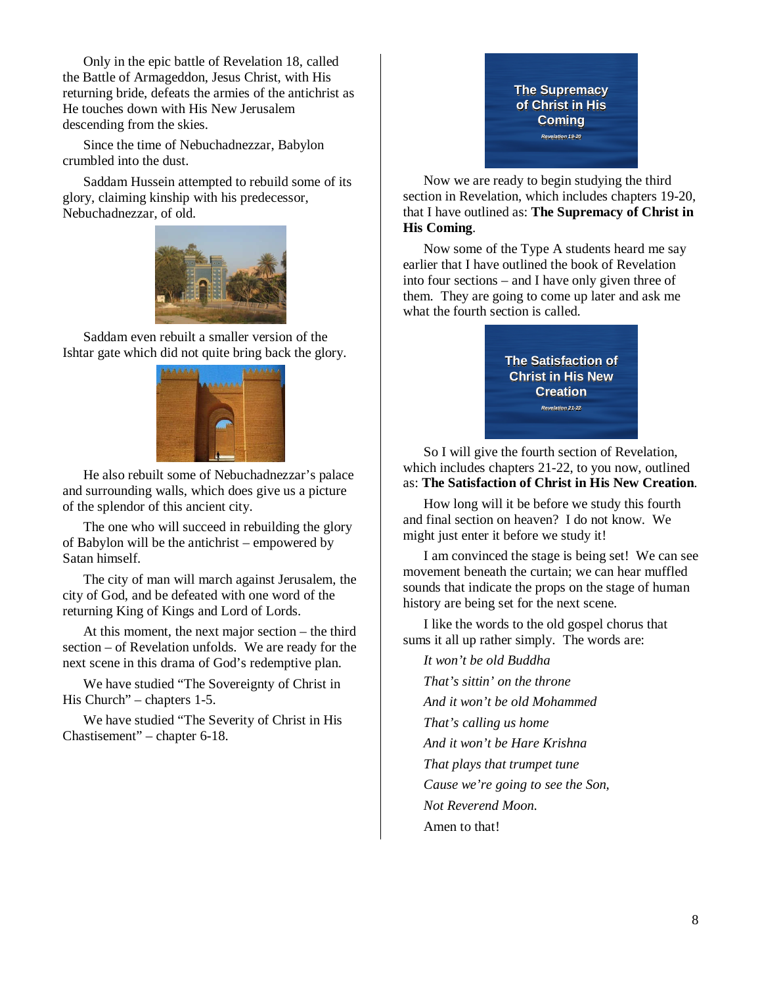Only in the epic battle of Revelation 18, called the Battle of Armageddon, Jesus Christ, with His returning bride, defeats the armies of the antichrist as He touches down with His New Jerusalem descending from the skies.

Since the time of Nebuchadnezzar, Babylon crumbled into the dust.

Saddam Hussein attempted to rebuild some of its glory, claiming kinship with his predecessor, Nebuchadnezzar, of old.



Saddam even rebuilt a smaller version of the Ishtar gate which did not quite bring back the glory.



He also rebuilt some of Nebuchadnezzar's palace and surrounding walls, which does give us a picture of the splendor of this ancient city.

The one who will succeed in rebuilding the glory of Babylon will be the antichrist – empowered by Satan himself.

The city of man will march against Jerusalem, the city of God, and be defeated with one word of the returning King of Kings and Lord of Lords.

At this moment, the next major section – the third section – of Revelation unfolds. We are ready for the next scene in this drama of God's redemptive plan.

We have studied "The Sovereignty of Christ in His Church" – chapters 1-5.

We have studied "The Severity of Christ in His Chastisement" – chapter 6-18.

## **The Supremacy of Christ in His Coming Revelation 19-20**

Now we are ready to begin studying the third section in Revelation, which includes chapters 19-20, that I have outlined as: **The Supremacy of Christ in His Coming**.

Now some of the Type A students heard me say earlier that I have outlined the book of Revelation into four sections – and I have only given three of them. They are going to come up later and ask me what the fourth section is called.



So I will give the fourth section of Revelation, which includes chapters 21-22, to you now, outlined as: **The Satisfaction of Christ in His New Creation**.

How long will it be before we study this fourth and final section on heaven? I do not know. We might just enter it before we study it!

I am convinced the stage is being set! We can see movement beneath the curtain; we can hear muffled sounds that indicate the props on the stage of human history are being set for the next scene.

I like the words to the old gospel chorus that sums it all up rather simply. The words are:

*It won't be old Buddha That's sittin' on the throne And it won't be old Mohammed That's calling us home And it won't be Hare Krishna That plays that trumpet tune Cause we're going to see the Son, Not Reverend Moon.*  Amen to that!